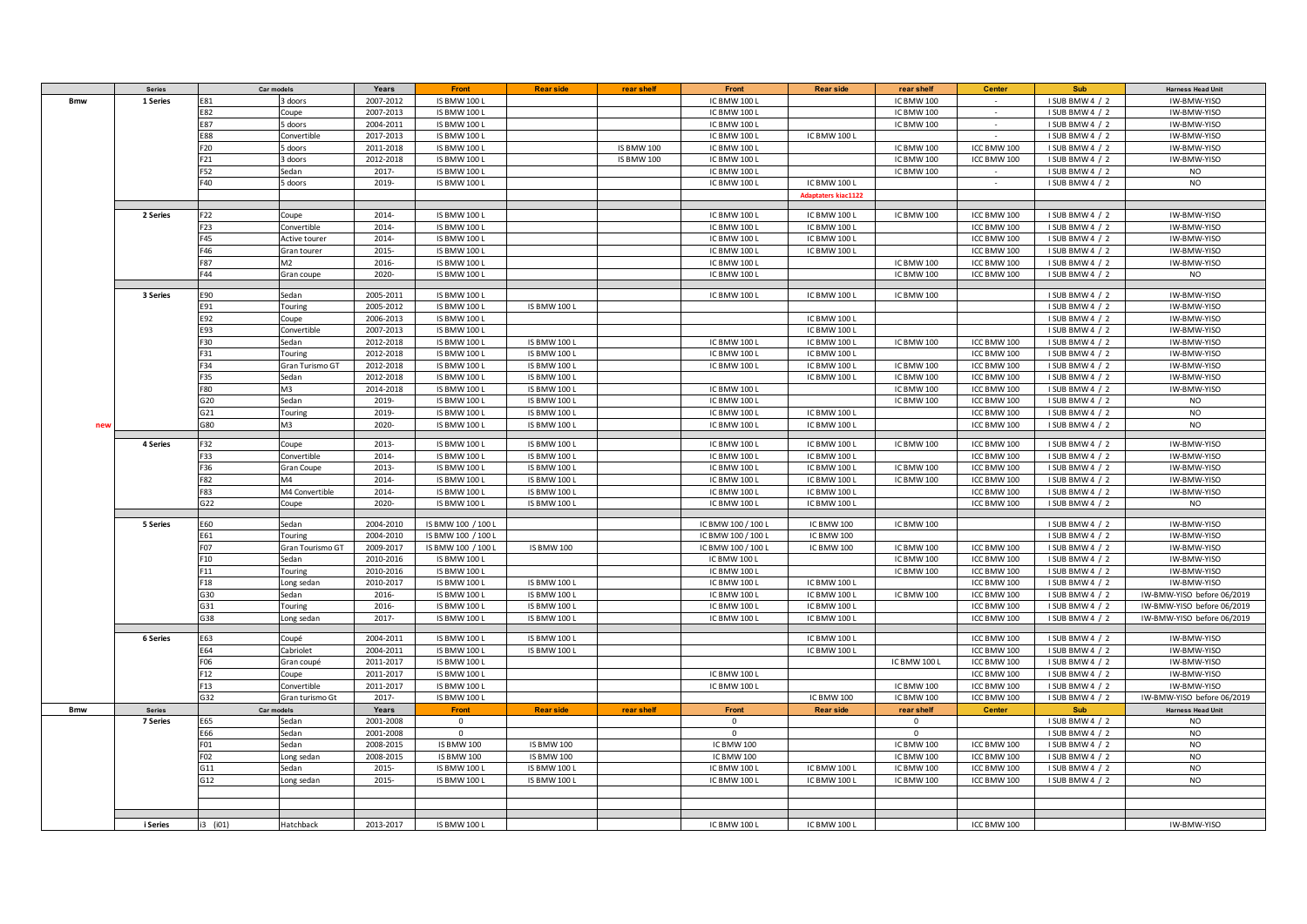|            | Series          | Car models      |                   | Years                  | Front                                      | <b>Rear side</b>                           | rear shelf        | Front                        | <b>Rear side</b>             | rear shelf               | <b>Center</b>              | Sub                                | <b>Harness Head Unit</b>   |
|------------|-----------------|-----------------|-------------------|------------------------|--------------------------------------------|--------------------------------------------|-------------------|------------------------------|------------------------------|--------------------------|----------------------------|------------------------------------|----------------------------|
| <b>Bmw</b> | 1 Series        | E81             | 3 doors           | 2007-2012              | <b>IS BMW 100 L</b>                        |                                            |                   | IC BMW 100 L                 |                              | IC BMW 100               | $\sim$                     | I SUB BMW 4 / 2                    | IW-BMW-YISO                |
|            |                 | E82             | Coupe             | 2007-2013              | <b>IS BMW 100 L</b>                        |                                            |                   | IC BMW 100 L                 |                              | IC BMW 100               | $\sim$                     | I SUB BMW 4 / 2                    | IW-BMW-YISO                |
|            |                 | E87             | 5 doors           | 2004-2011              | <b>IS BMW 100 L</b>                        |                                            |                   | IC BMW 100 L                 |                              | IC BMW 100               | $\sim$                     | I SUB BMW 4 / 2                    | IW-BMW-YISO                |
|            |                 | E88             | Convertible       | 2017-2013              | <b>IS BMW 100 L</b>                        |                                            |                   | IC BMW 100 L                 | IC BMW 100 L                 |                          |                            | I SUB BMW 4 / 2                    | IW-BMW-YISO                |
|            |                 | F20             | 5 doors           | 2011-2018              | <b>IS BMW 100 L</b>                        |                                            | <b>IS BMW 100</b> | IC BMW 100 L                 |                              | IC BMW 100               | ICC BMW 100                | I SUB BMW 4 / 2                    | IW-BMW-YISO                |
|            |                 | F21             | 3 doors           | 2012-2018              | <b>IS BMW 100 L</b>                        |                                            | <b>IS BMW 100</b> | IC BMW 100 L                 |                              | IC BMW 100               | ICC BMW 100                | I SUB BMW 4 / 2                    | IW-BMW-YISO                |
|            |                 | F52             | Sedan             | 2017-                  | <b>IS BMW 100 L</b>                        |                                            |                   | IC BMW 100 L                 |                              | <b>IC BMW 100</b>        | $\sim$                     | I SUB BMW 4 / 2                    | <b>NO</b>                  |
|            |                 | F40             | 5 doors           | 2019-                  | <b>IS BMW 100 L</b>                        |                                            |                   | IC BMW 100 L                 | IC BMW 100 L                 |                          | $\sim$                     | I SUB BMW 4 / 2                    | <b>NO</b>                  |
|            |                 |                 |                   |                        |                                            |                                            |                   |                              | <b>Adaptaters kiac1122</b>   |                          |                            |                                    |                            |
|            |                 |                 |                   |                        |                                            |                                            |                   |                              |                              |                          |                            |                                    |                            |
|            | 2 Series        | F <sub>22</sub> | Coupe             | 2014-                  | <b>IS BMW 100 L</b>                        |                                            |                   | IC BMW 100 L                 | IC BMW 100 L                 | IC BMW 100               | ICC BMW 100                | I SUB BMW 4 / 2                    | IW-BMW-YISO                |
|            |                 | F23             | Convertible       | 2014-                  | <b>IS BMW 100 L</b>                        |                                            |                   | IC BMW 100 L                 | IC BMW 100 L                 |                          | ICC BMW 100                | I SUB BMW 4 / 2                    | IW-BMW-YISO                |
|            |                 | F45             | Active tourer     | 2014-                  | <b>IS BMW 100 L</b>                        |                                            |                   | IC BMW 100 L                 | IC BMW 100 L                 |                          | ICC BMW 100                | I SUB BMW 4 / 2                    | IW-BMW-YISO                |
|            |                 | F46             | Gran tourer       | 2015-                  | <b>IS BMW 100 L</b>                        |                                            |                   | IC BMW 100 L                 | IC BMW 100 L                 |                          | ICC BMW 100                | I SUB BMW 4 / 2                    | IW-BMW-YISO                |
|            |                 | F87             | M2                | 2016-                  | <b>IS BMW 100 L</b>                        |                                            |                   | IC BMW 100 L                 |                              | <b>IC BMW 100</b>        | ICC BMW 100                | I SUB BMW 4 / 2                    | IW-BMW-YISO                |
|            |                 | F44             | Gran coupe        | 2020-                  | <b>IS BMW 100 L</b>                        |                                            |                   | IC BMW 100 L                 |                              | IC BMW 100               | ICC BMW 100                | I SUB BMW 4 / 2                    | <b>NO</b>                  |
|            |                 |                 |                   |                        |                                            |                                            |                   |                              |                              |                          |                            |                                    |                            |
|            | 3 Series        | E90             | Sedan             | 2005-2011              | <b>IS BMW 100 L</b>                        |                                            |                   | IC BMW 100 L                 | IC BMW 100 L                 | IC BMW 100               |                            | I SUB BMW 4 / 2                    | IW-BMW-YISO                |
|            |                 | E91             | Touring           | 2005-2012              | <b>IS BMW 100 L</b>                        | <b>IS BMW 100 L</b>                        |                   |                              |                              |                          |                            | I SUB BMW 4 / 2                    | IW-BMW-YISO                |
|            |                 | E92             | Coupe             | 2006-2013              | IS BMW 100 L                               |                                            |                   |                              | IC BMW 100 L                 |                          |                            | I SUB BMW 4 / 2                    | IW-BMW-YISO                |
|            |                 | E93             | Convertible       | 2007-2013              | <b>IS BMW 100 L</b>                        |                                            |                   |                              | IC BMW 100 L                 |                          |                            | I SUB BMW 4 / 2                    | IW-BMW-YISO                |
|            |                 | F30             | Sedan             | 2012-2018              | <b>IS BMW 100 L</b>                        | <b>IS BMW 100 L</b>                        |                   | IC BMW 100 L                 | IC BMW 100 L                 | IC BMW 100               | ICC BMW 100                | I SUB BMW 4 / 2                    | IW-BMW-YISO                |
|            |                 | F31             | Touring           | 2012-2018              | <b>IS BMW 100 L</b>                        | <b>IS BMW 100 L</b>                        |                   | IC BMW 100 L                 | IC BMW 100 L                 |                          | ICC BMW 100                | I SUB BMW 4 / 2                    | IW-BMW-YISO                |
|            |                 | F34             | Gran Turismo GT   | 2012-2018              | <b>IS BMW 100 L</b>                        | <b>IS BMW 100 L</b>                        |                   | IC BMW 100 L                 | IC BMW 100 L                 | IC BMW 100               | ICC BMW 100                | I SUB BMW 4 / 2                    | IW-BMW-YISO                |
|            |                 | F35             | Sedan             | 2012-2018              | <b>IS BMW 100 L</b>                        | <b>IS BMW 100 L</b>                        |                   |                              | IC BMW 100 L                 | <b>IC BMW 100</b>        | ICC BMW 100                | I SUB BMW 4 / 2                    | IW-BMW-YISO                |
|            |                 | F80             | M3                | 2014-2018              | <b>IS BMW 100 L</b>                        | <b>IS BMW 100 L</b>                        |                   | IC BMW 100 L                 |                              | IC BMW 100               | ICC BMW 100                | I SUB BMW 4 / 2                    | IW-BMW-YISO                |
|            |                 | G20             | Sedan             | 2019-                  | <b>IS BMW 100 L</b>                        | <b>IS BMW 100 L</b>                        |                   | IC BMW 100 L                 |                              | IC BMW 100               | ICC BMW 100                | I SUB BMW 4 / 2                    | <b>NO</b>                  |
|            |                 | G21             | Touring           | 2019-                  | <b>IS BMW 100 L</b>                        | IS BMW 100 L                               |                   | IC BMW 100 L                 | IC BMW 100 L                 |                          | ICC BMW 100                | I SUB BMW 4 / 2                    | NO.                        |
| new        |                 | G80             | M3                | 2020-                  | <b>IS BMW 100 L</b>                        | IS BMW 100 L                               |                   | IC BMW 100 L                 | IC BMW 100 L                 |                          | ICC BMW 100                | I SUB BMW 4 / 2                    | <b>NO</b>                  |
|            |                 |                 |                   |                        |                                            |                                            |                   |                              |                              |                          |                            |                                    |                            |
|            | 4 Series        | F32             | Coupe             | 2013-                  | <b>IS BMW 100 L</b>                        | <b>IS BMW 100 L</b>                        |                   | IC BMW 100 L                 | IC BMW 100 L                 | IC BMW 100               | ICC BMW 100                | I SUB BMW 4 / 2                    | IW-BMW-YISO                |
|            |                 | F33             | Convertible       | 2014-                  | <b>IS BMW 100 L</b>                        | <b>IS BMW 100 L</b>                        |                   | IC BMW 100 L                 | IC BMW 100 L                 |                          | ICC BMW 100                | I SUB BMW 4 / 2                    | IW-BMW-YISO                |
|            |                 | F36             | <b>Gran Coupe</b> | 2013-                  | <b>IS BMW 100 L</b>                        | <b>IS BMW 100 L</b>                        |                   | IC BMW 100 L                 | IC BMW 100 L                 | <b>IC BMW 100</b>        | ICC BMW 100                | I SUB BMW 4 / 2                    | IW-BMW-YISO                |
|            |                 | F82             | M4                | 2014-                  | <b>IS BMW 100 L</b>                        | <b>IS BMW 100 L</b>                        |                   | IC BMW 100 L                 | IC BMW 100 L                 | IC BMW 100               | ICC BMW 100                | I SUB BMW 4 / 2                    | IW-BMW-YISO                |
|            |                 | F83             | M4 Convertible    | 2014-                  | <b>IS BMW 100 L</b>                        | IS BMW 100 L                               |                   | IC BMW 100 L                 | IC BMW 100 L                 |                          | ICC BMW 100                | I SUB BMW 4 / 2                    | IW-BMW-YISO                |
|            |                 | G22             | Coupe             | 2020-                  | <b>IS BMW 100 L</b>                        | IS BMW 100 L                               |                   | IC BMW 100 L                 | IC BMW 100 L                 |                          | ICC BMW 100                | I SUB BMW 4 / 2                    | <b>NO</b>                  |
|            | 5 Series        | E60             | Sedan             | 2004-2010              | IS BMW 100 / 100 L                         |                                            |                   | IC BMW 100 / 100 L           | <b>IC BMW 100</b>            | IC BMW 100               |                            | I SUB BMW 4 / 2                    | IW-BMW-YISO                |
|            |                 | E61             | Touring           | 2004-2010              | IS BMW 100 / 100 L                         |                                            |                   | IC BMW 100 / 100 L           | IC BMW 100                   |                          |                            | I SUB BMW 4 / 2                    | IW-BMW-YISO                |
|            |                 | F07             | Gran Tourismo GT  | 2009-2017              | IS BMW 100 / 100 L                         | <b>IS BMW 100</b>                          |                   | IC BMW 100 / 100 L           | IC BMW 100                   | IC BMW 100               | ICC BMW 100                | I SUB BMW 4 / 2                    | IW-BMW-YISO                |
|            |                 | F10             |                   |                        |                                            |                                            |                   |                              |                              |                          |                            |                                    |                            |
|            |                 | F11             | Sedan             | 2010-2016              | <b>IS BMW 100 L</b><br><b>IS BMW 100 L</b> |                                            |                   | IC BMW 100 L<br>IC BMW 100 L |                              | IC BMW 100<br>IC BMW 100 | ICC BMW 100<br>ICC BMW 100 | I SUB BMW 4 / 2<br>I SUB BMW 4 / 2 | IW-BMW-YISO<br>IW-BMW-YISO |
|            |                 | F18             | Touring           | 2010-2016<br>2010-2017 | <b>IS BMW 100 L</b>                        | <b>IS BMW 100 L</b>                        |                   | IC BMW 100 L                 | IC BMW 100 L                 |                          | ICC BMW 100                | I SUB BMW 4 / 2                    | IW-BMW-YISO                |
|            |                 |                 | Long sedan        |                        |                                            |                                            |                   |                              |                              |                          |                            |                                    |                            |
|            |                 | G30             | Sedan             | 2016-<br>2016-         | <b>IS BMW 100 L</b>                        | <b>IS BMW 100 L</b><br><b>IS BMW 100 L</b> |                   | IC BMW 100 L<br>IC BMW 100 L | IC BMW 100 L<br>IC BMW 100 L | IC BMW 100               | ICC BMW 100<br>ICC BMW 100 | I SUB BMW 4 / 2                    | IW-BMW-YISO before 06/2019 |
|            |                 | G31             | Touring           |                        | <b>IS BMW 100 L</b>                        |                                            |                   |                              |                              |                          |                            | I SUB BMW 4 / 2                    | IW-BMW-YISO before 06/2019 |
|            |                 | G38             | Long sedan        | 2017-                  | <b>IS BMW 100 L</b>                        | <b>IS BMW 100 L</b>                        |                   | IC BMW 100 L                 | IC BMW 100 L                 |                          | ICC BMW 100                | I SUB BMW 4 / 2                    | IW-BMW-YISO before 06/2019 |
|            | <b>6 Series</b> | E63             | Coupé             | 2004-2011              | <b>IS BMW 100 L</b>                        | IS BMW 100 L                               |                   |                              | IC BMW 100 L                 |                          | ICC BMW 100                | I SUB BMW 4 / 2                    | IW-BMW-YISO                |
|            |                 | E64             | Cabriolet         | 2004-2011              | <b>IS BMW 100 L</b>                        | <b>IS BMW 100 L</b>                        |                   |                              | IC BMW 100 L                 |                          | ICC BMW 100                | I SUB BMW 4 / 2                    | IW-BMW-YISO                |
|            |                 | F06             | Gran coupé        | 2011-2017              | <b>IS BMW 100 L</b>                        |                                            |                   |                              |                              | IC BMW 100 L             | ICC BMW 100                | I SUB BMW 4 / 2                    | IW-BMW-YISO                |
|            |                 | F12             | Coupe             | 2011-2017              | <b>IS BMW 100 L</b>                        |                                            |                   | IC BMW 100 L                 |                              |                          | ICC BMW 100                | I SUB BMW 4 / 2                    | IW-BMW-YISO                |
|            |                 | F <sub>13</sub> | Convertible       | 2011-2017              | <b>IS BMW 100 L</b>                        |                                            |                   | IC BMW 100 L                 |                              | <b>IC BMW 100</b>        | ICC BMW 100                | I SUB BMW 4 / 2                    | IW-BMW-YISO                |
|            |                 | G32             | Gran turismo Gt   | 2017-                  | <b>IS BMW 100 L</b>                        |                                            |                   |                              | IC BMW 100                   | IC BMW 100               | ICC BMW 100                | I SUB BMW 4 / 2                    | IW-BMW-YISO before 06/2019 |
| <b>Bmw</b> | Series          | Car models      |                   | Years                  | <b>Front</b>                               | <b>Rear side</b>                           | rear shelf        | Front                        | <b>Rear side</b>             | rear shelf               | <b>Center</b>              | Sub                                | <b>Harness Head Unit</b>   |
|            | 7 Series        | E65             | Sedan             | 2001-2008              | $\mathbf 0$                                |                                            |                   | $\circ$                      |                              | $\mathbf 0$              |                            | I SUB BMW 4 / 2                    | <b>NO</b>                  |
|            |                 | E66             | Sedan             | 2001-2008              | $\mathbf{0}$                               |                                            |                   | $\mathbf{0}$                 |                              | $\mathbf{0}$             |                            | I SUB BMW 4 / 2                    | <b>NO</b>                  |
|            |                 | F01             | Sedan             | 2008-2015              | <b>IS BMW 100</b>                          | <b>IS BMW 100</b>                          |                   | IC BMW 100                   |                              | IC BMW 100               | ICC BMW 100                | I SUB BMW 4 / 2                    | <b>NO</b>                  |
|            |                 | F02             | Long sedan        | 2008-2015              | <b>IS BMW 100</b>                          | <b>IS BMW 100</b>                          |                   | IC BMW 100                   |                              | <b>IC BMW 100</b>        | ICC BMW 100                | I SUB BMW 4 / 2                    | <b>NO</b>                  |
|            |                 | G11             | Sedan             | 2015-                  | <b>IS BMW 100 L</b>                        | <b>IS BMW 100 L</b>                        |                   | IC BMW 100 L                 | IC BMW 100 L                 | IC BMW 100               | ICC BMW 100                | I SUB BMW 4 / 2                    | <b>NO</b>                  |
|            |                 | G12             | Long sedan        | 2015-                  | <b>IS BMW 100 L</b>                        | <b>IS BMW 100 L</b>                        |                   | IC BMW 100 L                 | IC BMW 100 L                 | IC BMW 100               | ICC BMW 100                | I SUB BMW 4 / 2                    | <b>NO</b>                  |
|            |                 |                 |                   |                        |                                            |                                            |                   |                              |                              |                          |                            |                                    |                            |
|            |                 |                 |                   |                        |                                            |                                            |                   |                              |                              |                          |                            |                                    |                            |
|            |                 |                 |                   |                        |                                            |                                            |                   |                              |                              |                          |                            |                                    |                            |
|            | i Series        | i3 (i01)        | Hatchback         | 2013-2017              | <b>IS BMW 100 L</b>                        |                                            |                   | IC BMW 100 L                 | IC BMW 100 L                 |                          | ICC BMW 100                |                                    | IW-BMW-YISO                |